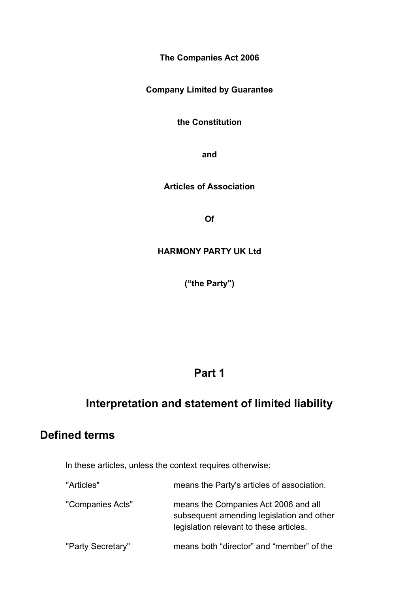**The Companies Act 2006**

**Company Limited by Guarantee**

**the Constitution**

**and**

**Articles of Association**

**Of**

#### **HARMONY PARTY UK Ltd**

**("the Party")**

### **Part 1**

### **Interpretation and statement of limited liability**

### **Defined terms**

In these articles, unless the context requires otherwise:

| "Articles"        | means the Party's articles of association.                                                                                   |
|-------------------|------------------------------------------------------------------------------------------------------------------------------|
| "Companies Acts"  | means the Companies Act 2006 and all<br>subsequent amending legislation and other<br>legislation relevant to these articles. |
| "Party Secretary" | means both "director" and "member" of the                                                                                    |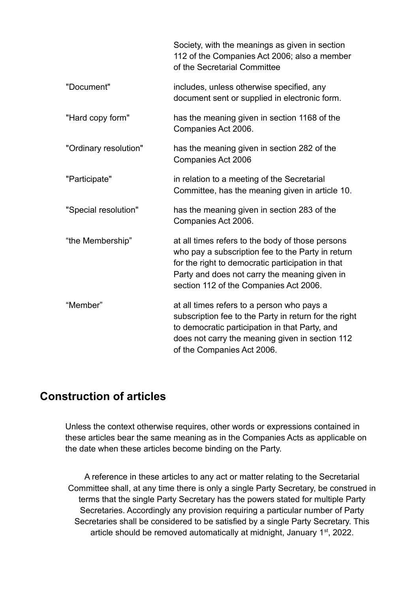|                       | Society, with the meanings as given in section<br>112 of the Companies Act 2006; also a member<br>of the Secretarial Committee                                                                                                                        |
|-----------------------|-------------------------------------------------------------------------------------------------------------------------------------------------------------------------------------------------------------------------------------------------------|
| "Document"            | includes, unless otherwise specified, any<br>document sent or supplied in electronic form.                                                                                                                                                            |
| "Hard copy form"      | has the meaning given in section 1168 of the<br>Companies Act 2006.                                                                                                                                                                                   |
| "Ordinary resolution" | has the meaning given in section 282 of the<br><b>Companies Act 2006</b>                                                                                                                                                                              |
| "Participate"         | in relation to a meeting of the Secretarial<br>Committee, has the meaning given in article 10.                                                                                                                                                        |
| "Special resolution"  | has the meaning given in section 283 of the<br>Companies Act 2006.                                                                                                                                                                                    |
| "the Membership"      | at all times refers to the body of those persons<br>who pay a subscription fee to the Party in return<br>for the right to democratic participation in that<br>Party and does not carry the meaning given in<br>section 112 of the Companies Act 2006. |
| "Member"              | at all times refers to a person who pays a<br>subscription fee to the Party in return for the right<br>to democratic participation in that Party, and<br>does not carry the meaning given in section 112<br>of the Companies Act 2006.                |

#### **Construction of articles**

Unless the context otherwise requires, other words or expressions contained in these articles bear the same meaning as in the Companies Acts as applicable on the date when these articles become binding on the Party.

A reference in these articles to any act or matter relating to the Secretarial Committee shall, at any time there is only a single Party Secretary, be construed in terms that the single Party Secretary has the powers stated for multiple Party Secretaries. Accordingly any provision requiring a particular number of Party Secretaries shall be considered to be satisfied by a single Party Secretary. This article should be removed automatically at midnight, January 1<sup>st</sup>, 2022.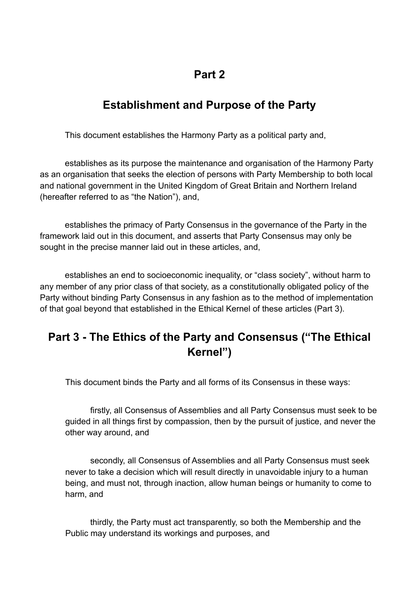### **Part 2**

## **Establishment and Purpose of the Party**

This document establishes the Harmony Party as a political party and,

establishes as its purpose the maintenance and organisation of the Harmony Party as an organisation that seeks the election of persons with Party Membership to both local and national government in the United Kingdom of Great Britain and Northern Ireland (hereafter referred to as "the Nation"), and,

establishes the primacy of Party Consensus in the governance of the Party in the framework laid out in this document, and asserts that Party Consensus may only be sought in the precise manner laid out in these articles, and,

establishes an end to socioeconomic inequality, or "class society", without harm to any member of any prior class of that society, as a constitutionally obligated policy of the Party without binding Party Consensus in any fashion as to the method of implementation of that goal beyond that established in the Ethical Kernel of these articles (Part 3).

# **Part 3 - The Ethics of the Party and Consensus ("The Ethical Kernel")**

This document binds the Party and all forms of its Consensus in these ways:

firstly, all Consensus of Assemblies and all Party Consensus must seek to be guided in all things first by compassion, then by the pursuit of justice, and never the other way around, and

secondly, all Consensus of Assemblies and all Party Consensus must seek never to take a decision which will result directly in unavoidable injury to a human being, and must not, through inaction, allow human beings or humanity to come to harm, and

thirdly, the Party must act transparently, so both the Membership and the Public may understand its workings and purposes, and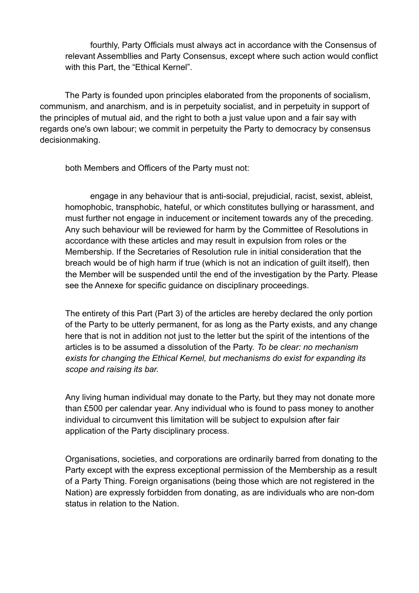fourthly, Party Officials must always act in accordance with the Consensus of relevant Assembllies and Party Consensus, except where such action would conflict with this Part, the "Ethical Kernel".

The Party is founded upon principles elaborated from the proponents of socialism, communism, and anarchism, and is in perpetuity socialist, and in perpetuity in support of the principles of mutual aid, and the right to both a just value upon and a fair say with regards one's own labour; we commit in perpetuity the Party to democracy by consensus decisionmaking.

both Members and Officers of the Party must not:

engage in any behaviour that is anti-social, prejudicial, racist, sexist, ableist, homophobic, transphobic, hateful, or which constitutes bullying or harassment, and must further not engage in inducement or incitement towards any of the preceding. Any such behaviour will be reviewed for harm by the Committee of Resolutions in accordance with these articles and may result in expulsion from roles or the Membership. If the Secretaries of Resolution rule in initial consideration that the breach would be of high harm if true (which is not an indication of guilt itself), then the Member will be suspended until the end of the investigation by the Party. Please see the Annexe for specific guidance on disciplinary proceedings.

The entirety of this Part (Part 3) of the articles are hereby declared the only portion of the Party to be utterly permanent, for as long as the Party exists, and any change here that is not in addition not just to the letter but the spirit of the intentions of the articles is to be assumed a dissolution of the Party. *To be clear: no mechanism exists for changing the Ethical Kernel, but mechanisms do exist for expanding its scope and raising its bar.*

Any living human individual may donate to the Party, but they may not donate more than £500 per calendar year. Any individual who is found to pass money to another individual to circumvent this limitation will be subject to expulsion after fair application of the Party disciplinary process.

Organisations, societies, and corporations are ordinarily barred from donating to the Party except with the express exceptional permission of the Membership as a result of a Party Thing. Foreign organisations (being those which are not registered in the Nation) are expressly forbidden from donating, as are individuals who are non-dom status in relation to the Nation.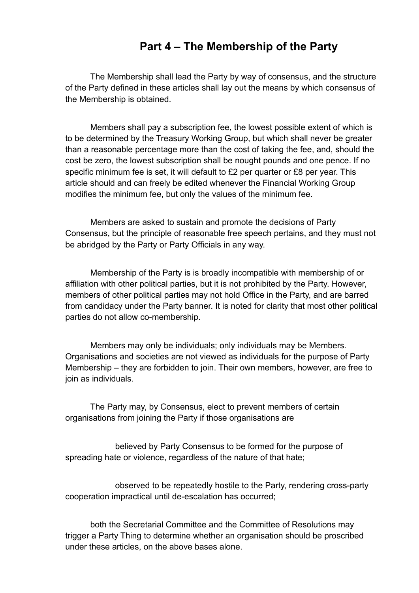#### **Part 4 – The Membership of the Party**

The Membership shall lead the Party by way of consensus, and the structure of the Party defined in these articles shall lay out the means by which consensus of the Membership is obtained.

Members shall pay a subscription fee, the lowest possible extent of which is to be determined by the Treasury Working Group, but which shall never be greater than a reasonable percentage more than the cost of taking the fee, and, should the cost be zero, the lowest subscription shall be nought pounds and one pence. If no specific minimum fee is set, it will default to £2 per quarter or £8 per year. This article should and can freely be edited whenever the Financial Working Group modifies the minimum fee, but only the values of the minimum fee.

Members are asked to sustain and promote the decisions of Party Consensus, but the principle of reasonable free speech pertains, and they must not be abridged by the Party or Party Officials in any way.

Membership of the Party is is broadly incompatible with membership of or affiliation with other political parties, but it is not prohibited by the Party. However, members of other political parties may not hold Office in the Party, and are barred from candidacy under the Party banner. It is noted for clarity that most other political parties do not allow co-membership.

Members may only be individuals; only individuals may be Members. Organisations and societies are not viewed as individuals for the purpose of Party Membership – they are forbidden to join. Their own members, however, are free to join as individuals.

The Party may, by Consensus, elect to prevent members of certain organisations from joining the Party if those organisations are

believed by Party Consensus to be formed for the purpose of spreading hate or violence, regardless of the nature of that hate;

observed to be repeatedly hostile to the Party, rendering cross-party cooperation impractical until de-escalation has occurred;

both the Secretarial Committee and the Committee of Resolutions may trigger a Party Thing to determine whether an organisation should be proscribed under these articles, on the above bases alone.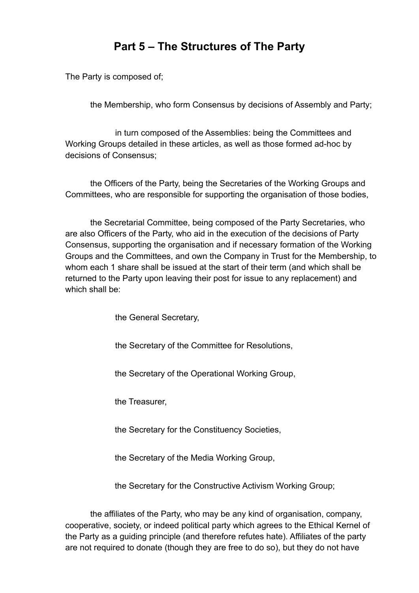## **Part 5 – The Structures of The Party**

The Party is composed of;

the Membership, who form Consensus by decisions of Assembly and Party;

in turn composed of the Assemblies: being the Committees and Working Groups detailed in these articles, as well as those formed ad-hoc by decisions of Consensus;

the Officers of the Party, being the Secretaries of the Working Groups and Committees, who are responsible for supporting the organisation of those bodies,

the Secretarial Committee, being composed of the Party Secretaries, who are also Officers of the Party, who aid in the execution of the decisions of Party Consensus, supporting the organisation and if necessary formation of the Working Groups and the Committees, and own the Company in Trust for the Membership, to whom each 1 share shall be issued at the start of their term (and which shall be returned to the Party upon leaving their post for issue to any replacement) and which shall be:

the General Secretary,

the Secretary of the Committee for Resolutions,

the Secretary of the Operational Working Group,

the Treasurer,

the Secretary for the Constituency Societies,

the Secretary of the Media Working Group,

the Secretary for the Constructive Activism Working Group;

the affiliates of the Party, who may be any kind of organisation, company, cooperative, society, or indeed political party which agrees to the Ethical Kernel of the Party as a guiding principle (and therefore refutes hate). Affiliates of the party are not required to donate (though they are free to do so), but they do not have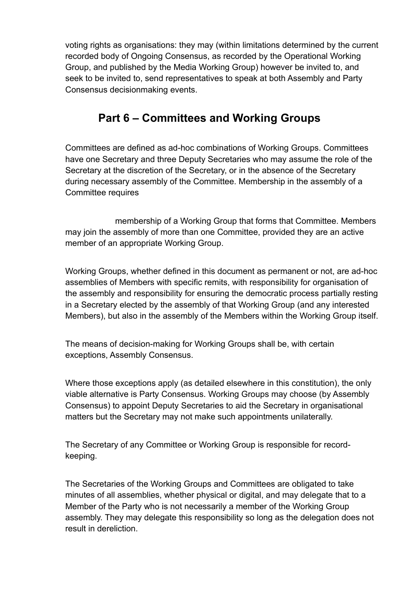voting rights as organisations: they may (within limitations determined by the current recorded body of Ongoing Consensus, as recorded by the Operational Working Group, and published by the Media Working Group) however be invited to, and seek to be invited to, send representatives to speak at both Assembly and Party Consensus decisionmaking events.

### **Part 6 – Committees and Working Groups**

Committees are defined as ad-hoc combinations of Working Groups. Committees have one Secretary and three Deputy Secretaries who may assume the role of the Secretary at the discretion of the Secretary, or in the absence of the Secretary during necessary assembly of the Committee. Membership in the assembly of a Committee requires

membership of a Working Group that forms that Committee. Members may join the assembly of more than one Committee, provided they are an active member of an appropriate Working Group.

Working Groups, whether defined in this document as permanent or not, are ad-hoc assemblies of Members with specific remits, with responsibility for organisation of the assembly and responsibility for ensuring the democratic process partially resting in a Secretary elected by the assembly of that Working Group (and any interested Members), but also in the assembly of the Members within the Working Group itself.

The means of decision-making for Working Groups shall be, with certain exceptions, Assembly Consensus.

Where those exceptions apply (as detailed elsewhere in this constitution), the only viable alternative is Party Consensus. Working Groups may choose (by Assembly Consensus) to appoint Deputy Secretaries to aid the Secretary in organisational matters but the Secretary may not make such appointments unilaterally.

The Secretary of any Committee or Working Group is responsible for recordkeeping.

The Secretaries of the Working Groups and Committees are obligated to take minutes of all assemblies, whether physical or digital, and may delegate that to a Member of the Party who is not necessarily a member of the Working Group assembly. They may delegate this responsibility so long as the delegation does not result in dereliction.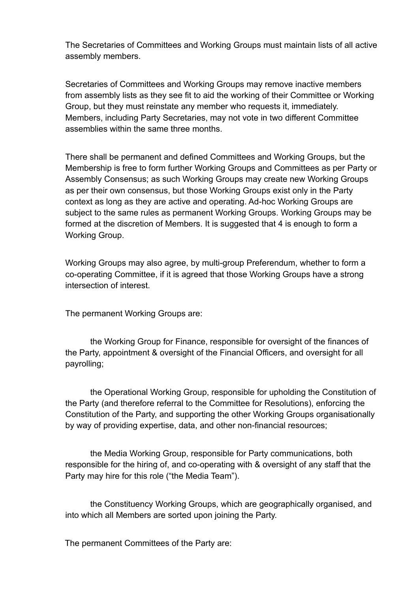The Secretaries of Committees and Working Groups must maintain lists of all active assembly members.

Secretaries of Committees and Working Groups may remove inactive members from assembly lists as they see fit to aid the working of their Committee or Working Group, but they must reinstate any member who requests it, immediately. Members, including Party Secretaries, may not vote in two different Committee assemblies within the same three months.

There shall be permanent and defined Committees and Working Groups, but the Membership is free to form further Working Groups and Committees as per Party or Assembly Consensus; as such Working Groups may create new Working Groups as per their own consensus, but those Working Groups exist only in the Party context as long as they are active and operating. Ad-hoc Working Groups are subject to the same rules as permanent Working Groups. Working Groups may be formed at the discretion of Members. It is suggested that 4 is enough to form a Working Group.

Working Groups may also agree, by multi-group Preferendum, whether to form a co-operating Committee, if it is agreed that those Working Groups have a strong intersection of interest.

The permanent Working Groups are:

the Working Group for Finance, responsible for oversight of the finances of the Party, appointment & oversight of the Financial Officers, and oversight for all payrolling;

 the Operational Working Group, responsible for upholding the Constitution of the Party (and therefore referral to the Committee for Resolutions), enforcing the Constitution of the Party, and supporting the other Working Groups organisationally by way of providing expertise, data, and other non-financial resources;

the Media Working Group, responsible for Party communications, both responsible for the hiring of, and co-operating with & oversight of any staff that the Party may hire for this role ("the Media Team").

the Constituency Working Groups, which are geographically organised, and into which all Members are sorted upon joining the Party.

The permanent Committees of the Party are: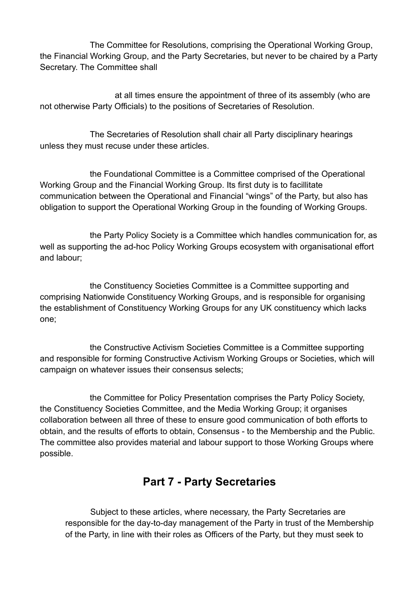The Committee for Resolutions, comprising the Operational Working Group, the Financial Working Group, and the Party Secretaries, but never to be chaired by a Party Secretary. The Committee shall

at all times ensure the appointment of three of its assembly (who are not otherwise Party Officials) to the positions of Secretaries of Resolution.

The Secretaries of Resolution shall chair all Party disciplinary hearings unless they must recuse under these articles.

the Foundational Committee is a Committee comprised of the Operational Working Group and the Financial Working Group. Its first duty is to facillitate communication between the Operational and Financial "wings" of the Party, but also has obligation to support the Operational Working Group in the founding of Working Groups.

the Party Policy Society is a Committee which handles communication for, as well as supporting the ad-hoc Policy Working Groups ecosystem with organisational effort and labour;

the Constituency Societies Committee is a Committee supporting and comprising Nationwide Constituency Working Groups, and is responsible for organising the establishment of Constituency Working Groups for any UK constituency which lacks one;

the Constructive Activism Societies Committee is a Committee supporting and responsible for forming Constructive Activism Working Groups or Societies, which will campaign on whatever issues their consensus selects;

the Committee for Policy Presentation comprises the Party Policy Society, the Constituency Societies Committee, and the Media Working Group; it organises collaboration between all three of these to ensure good communication of both efforts to obtain, and the results of efforts to obtain, Consensus - to the Membership and the Public. The committee also provides material and labour support to those Working Groups where possible.

### **Part 7 - Party Secretaries**

Subject to these articles, where necessary, the Party Secretaries are responsible for the day-to-day management of the Party in trust of the Membership of the Party, in line with their roles as Officers of the Party, but they must seek to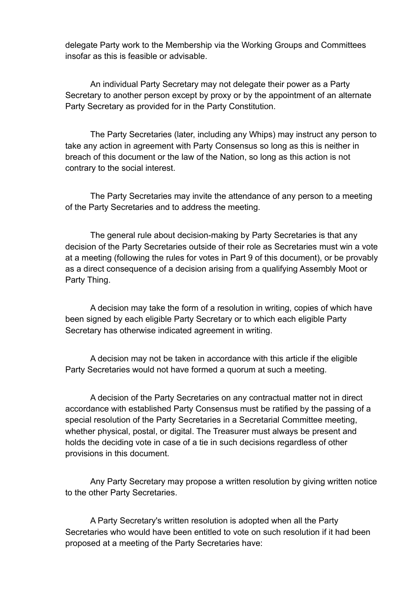delegate Party work to the Membership via the Working Groups and Committees insofar as this is feasible or advisable.

An individual Party Secretary may not delegate their power as a Party Secretary to another person except by proxy or by the appointment of an alternate Party Secretary as provided for in the Party Constitution.

The Party Secretaries (later, including any Whips) may instruct any person to take any action in agreement with Party Consensus so long as this is neither in breach of this document or the law of the Nation, so long as this action is not contrary to the social interest.

The Party Secretaries may invite the attendance of any person to a meeting of the Party Secretaries and to address the meeting.

The general rule about decision-making by Party Secretaries is that any decision of the Party Secretaries outside of their role as Secretaries must win a vote at a meeting (following the rules for votes in Part 9 of this document), or be provably as a direct consequence of a decision arising from a qualifying Assembly Moot or Party Thing.

A decision may take the form of a resolution in writing, copies of which have been signed by each eligible Party Secretary or to which each eligible Party Secretary has otherwise indicated agreement in writing.

A decision may not be taken in accordance with this article if the eligible Party Secretaries would not have formed a quorum at such a meeting.

A decision of the Party Secretaries on any contractual matter not in direct accordance with established Party Consensus must be ratified by the passing of a special resolution of the Party Secretaries in a Secretarial Committee meeting, whether physical, postal, or digital. The Treasurer must always be present and holds the deciding vote in case of a tie in such decisions regardless of other provisions in this document.

Any Party Secretary may propose a written resolution by giving written notice to the other Party Secretaries.

A Party Secretary's written resolution is adopted when all the Party Secretaries who would have been entitled to vote on such resolution if it had been proposed at a meeting of the Party Secretaries have: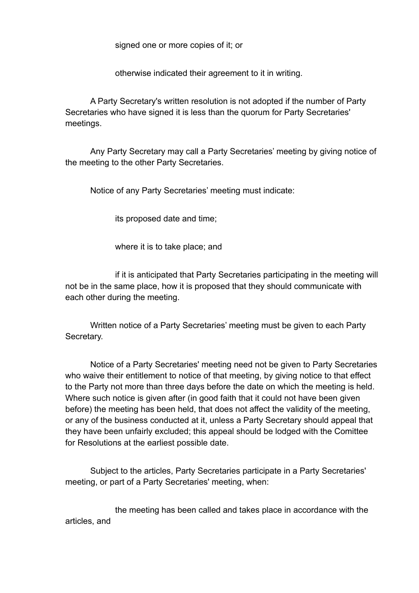signed one or more copies of it; or

otherwise indicated their agreement to it in writing.

A Party Secretary's written resolution is not adopted if the number of Party Secretaries who have signed it is less than the quorum for Party Secretaries' meetings.

Any Party Secretary may call a Party Secretaries' meeting by giving notice of the meeting to the other Party Secretaries.

Notice of any Party Secretaries' meeting must indicate:

its proposed date and time;

where it is to take place; and

if it is anticipated that Party Secretaries participating in the meeting will not be in the same place, how it is proposed that they should communicate with each other during the meeting.

Written notice of a Party Secretaries' meeting must be given to each Party Secretary.

Notice of a Party Secretaries' meeting need not be given to Party Secretaries who waive their entitlement to notice of that meeting, by giving notice to that effect to the Party not more than three days before the date on which the meeting is held. Where such notice is given after (in good faith that it could not have been given before) the meeting has been held, that does not affect the validity of the meeting, or any of the business conducted at it, unless a Party Secretary should appeal that they have been unfairly excluded; this appeal should be lodged with the Comittee for Resolutions at the earliest possible date.

Subject to the articles, Party Secretaries participate in a Party Secretaries' meeting, or part of a Party Secretaries' meeting, when:

the meeting has been called and takes place in accordance with the articles, and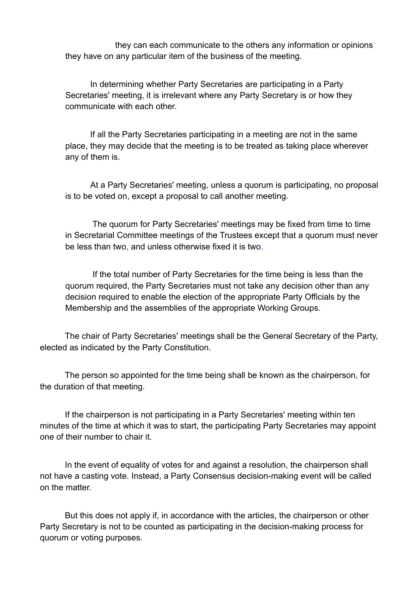they can each communicate to the others any information or opinions they have on any particular item of the business of the meeting.

In determining whether Party Secretaries are participating in a Party Secretaries' meeting, it is irrelevant where any Party Secretary is or how they communicate with each other.

If all the Party Secretaries participating in a meeting are not in the same place, they may decide that the meeting is to be treated as taking place wherever any of them is.

At a Party Secretaries' meeting, unless a quorum is participating, no proposal is to be voted on, except a proposal to call another meeting.

 The quorum for Party Secretaries' meetings may be fixed from time to time in Secretarial Committee meetings of the Trustees except that a quorum must never be less than two, and unless otherwise fixed it is two.

 If the total number of Party Secretaries for the time being is less than the quorum required, the Party Secretaries must not take any decision other than any decision required to enable the election of the appropriate Party Officials by the Membership and the assemblies of the appropriate Working Groups.

The chair of Party Secretaries' meetings shall be the General Secretary of the Party, elected as indicated by the Party Constitution.

The person so appointed for the time being shall be known as the chairperson, for the duration of that meeting.

If the chairperson is not participating in a Party Secretaries' meeting within ten minutes of the time at which it was to start, the participating Party Secretaries may appoint one of their number to chair it.

In the event of equality of votes for and against a resolution, the chairperson shall not have a casting vote. Instead, a Party Consensus decision-making event will be called on the matter.

But this does not apply if, in accordance with the articles, the chairperson or other Party Secretary is not to be counted as participating in the decision-making process for quorum or voting purposes.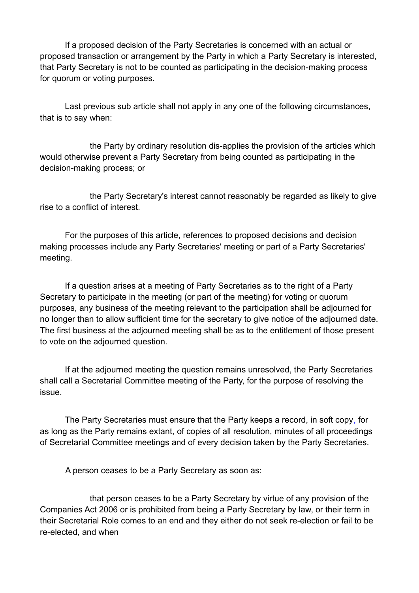If a proposed decision of the Party Secretaries is concerned with an actual or proposed transaction or arrangement by the Party in which a Party Secretary is interested, that Party Secretary is not to be counted as participating in the decision-making process for quorum or voting purposes.

Last previous sub article shall not apply in any one of the following circumstances, that is to say when:

the Party by ordinary resolution dis-applies the provision of the articles which would otherwise prevent a Party Secretary from being counted as participating in the decision-making process; or

the Party Secretary's interest cannot reasonably be regarded as likely to give rise to a conflict of interest.

For the purposes of this article, references to proposed decisions and decision making processes include any Party Secretaries' meeting or part of a Party Secretaries' meeting.

If a question arises at a meeting of Party Secretaries as to the right of a Party Secretary to participate in the meeting (or part of the meeting) for voting or quorum purposes, any business of the meeting relevant to the participation shall be adjourned for no longer than to allow sufficient time for the secretary to give notice of the adjourned date. The first business at the adjourned meeting shall be as to the entitlement of those present to vote on the adjourned question.

If at the adjourned meeting the question remains unresolved, the Party Secretaries shall call a Secretarial Committee meeting of the Party, for the purpose of resolving the issue.

The Party Secretaries must ensure that the Party keeps a record, in soft copy, for as long as the Party remains extant, of copies of all resolution, minutes of all proceedings of Secretarial Committee meetings and of every decision taken by the Party Secretaries.

A person ceases to be a Party Secretary as soon as:

that person ceases to be a Party Secretary by virtue of any provision of the Companies Act 2006 or is prohibited from being a Party Secretary by law, or their term in their Secretarial Role comes to an end and they either do not seek re-election or fail to be re-elected, and when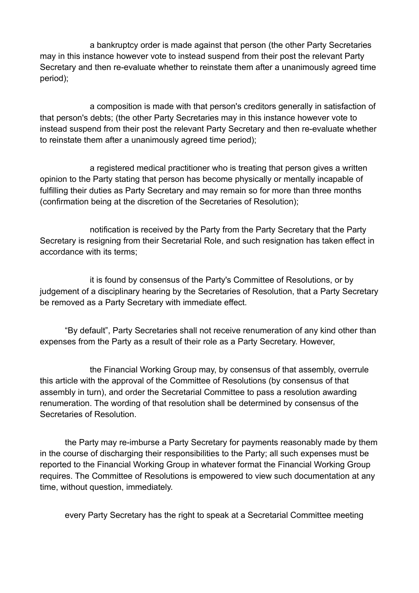a bankruptcy order is made against that person (the other Party Secretaries may in this instance however vote to instead suspend from their post the relevant Party Secretary and then re-evaluate whether to reinstate them after a unanimously agreed time period);

a composition is made with that person's creditors generally in satisfaction of that person's debts; (the other Party Secretaries may in this instance however vote to instead suspend from their post the relevant Party Secretary and then re-evaluate whether to reinstate them after a unanimously agreed time period);

a registered medical practitioner who is treating that person gives a written opinion to the Party stating that person has become physically or mentally incapable of fulfilling their duties as Party Secretary and may remain so for more than three months (confirmation being at the discretion of the Secretaries of Resolution);

notification is received by the Party from the Party Secretary that the Party Secretary is resigning from their Secretarial Role, and such resignation has taken effect in accordance with its terms;

it is found by consensus of the Party's Committee of Resolutions, or by judgement of a disciplinary hearing by the Secretaries of Resolution, that a Party Secretary be removed as a Party Secretary with immediate effect.

"By default", Party Secretaries shall not receive renumeration of any kind other than expenses from the Party as a result of their role as a Party Secretary. However,

the Financial Working Group may, by consensus of that assembly, overrule this article with the approval of the Committee of Resolutions (by consensus of that assembly in turn), and order the Secretarial Committee to pass a resolution awarding renumeration. The wording of that resolution shall be determined by consensus of the Secretaries of Resolution.

the Party may re-imburse a Party Secretary for payments reasonably made by them in the course of discharging their responsibilities to the Party; all such expenses must be reported to the Financial Working Group in whatever format the Financial Working Group requires. The Committee of Resolutions is empowered to view such documentation at any time, without question, immediately.

every Party Secretary has the right to speak at a Secretarial Committee meeting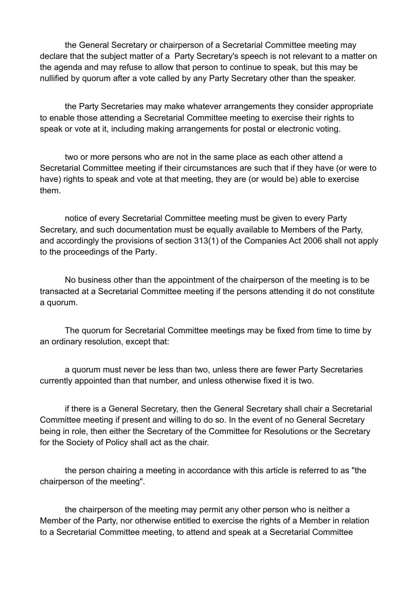the General Secretary or chairperson of a Secretarial Committee meeting may declare that the subject matter of a Party Secretary's speech is not relevant to a matter on the agenda and may refuse to allow that person to continue to speak, but this may be nullified by quorum after a vote called by any Party Secretary other than the speaker.

the Party Secretaries may make whatever arrangements they consider appropriate to enable those attending a Secretarial Committee meeting to exercise their rights to speak or vote at it, including making arrangements for postal or electronic voting.

two or more persons who are not in the same place as each other attend a Secretarial Committee meeting if their circumstances are such that if they have (or were to have) rights to speak and vote at that meeting, they are (or would be) able to exercise them.

notice of every Secretarial Committee meeting must be given to every Party Secretary, and such documentation must be equally available to Members of the Party, and accordingly the provisions of section 313(1) of the Companies Act 2006 shall not apply to the proceedings of the Party.

No business other than the appointment of the chairperson of the meeting is to be transacted at a Secretarial Committee meeting if the persons attending it do not constitute a quorum.

The quorum for Secretarial Committee meetings may be fixed from time to time by an ordinary resolution, except that:

a quorum must never be less than two, unless there are fewer Party Secretaries currently appointed than that number, and unless otherwise fixed it is two.

if there is a General Secretary, then the General Secretary shall chair a Secretarial Committee meeting if present and willing to do so. In the event of no General Secretary being in role, then either the Secretary of the Committee for Resolutions or the Secretary for the Society of Policy shall act as the chair.

the person chairing a meeting in accordance with this article is referred to as "the chairperson of the meeting".

the chairperson of the meeting may permit any other person who is neither a Member of the Party, nor otherwise entitled to exercise the rights of a Member in relation to a Secretarial Committee meeting, to attend and speak at a Secretarial Committee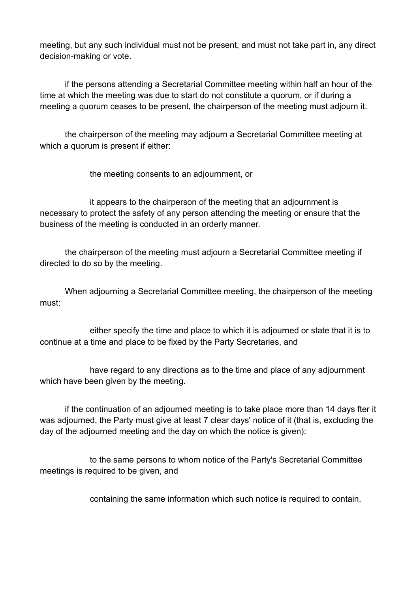meeting, but any such individual must not be present, and must not take part in, any direct decision-making or vote.

if the persons attending a Secretarial Committee meeting within half an hour of the time at which the meeting was due to start do not constitute a quorum, or if during a meeting a quorum ceases to be present, the chairperson of the meeting must adjourn it.

the chairperson of the meeting may adjourn a Secretarial Committee meeting at which a quorum is present if either:

the meeting consents to an adjournment, or

it appears to the chairperson of the meeting that an adjournment is necessary to protect the safety of any person attending the meeting or ensure that the business of the meeting is conducted in an orderly manner.

the chairperson of the meeting must adjourn a Secretarial Committee meeting if directed to do so by the meeting.

When adjourning a Secretarial Committee meeting, the chairperson of the meeting must:

either specify the time and place to which it is adjourned or state that it is to continue at a time and place to be fixed by the Party Secretaries, and

have regard to any directions as to the time and place of any adjournment which have been given by the meeting.

if the continuation of an adjourned meeting is to take place more than 14 days fter it was adjourned, the Party must give at least 7 clear days' notice of it (that is, excluding the day of the adjourned meeting and the day on which the notice is given):

to the same persons to whom notice of the Party's Secretarial Committee meetings is required to be given, and

containing the same information which such notice is required to contain.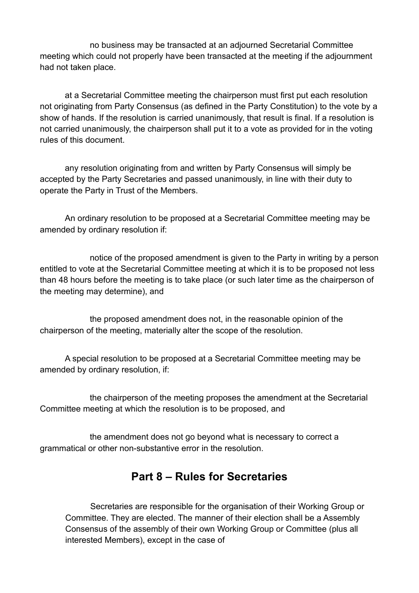no business may be transacted at an adjourned Secretarial Committee meeting which could not properly have been transacted at the meeting if the adjournment had not taken place.

at a Secretarial Committee meeting the chairperson must first put each resolution not originating from Party Consensus (as defined in the Party Constitution) to the vote by a show of hands. If the resolution is carried unanimously, that result is final. If a resolution is not carried unanimously, the chairperson shall put it to a vote as provided for in the voting rules of this document.

any resolution originating from and written by Party Consensus will simply be accepted by the Party Secretaries and passed unanimously, in line with their duty to operate the Party in Trust of the Members.

An ordinary resolution to be proposed at a Secretarial Committee meeting may be amended by ordinary resolution if:

notice of the proposed amendment is given to the Party in writing by a person entitled to vote at the Secretarial Committee meeting at which it is to be proposed not less than 48 hours before the meeting is to take place (or such later time as the chairperson of the meeting may determine), and

the proposed amendment does not, in the reasonable opinion of the chairperson of the meeting, materially alter the scope of the resolution.

A special resolution to be proposed at a Secretarial Committee meeting may be amended by ordinary resolution, if:

the chairperson of the meeting proposes the amendment at the Secretarial Committee meeting at which the resolution is to be proposed, and

the amendment does not go beyond what is necessary to correct a grammatical or other non-substantive error in the resolution.

#### **Part 8 – Rules for Secretaries**

Secretaries are responsible for the organisation of their Working Group or Committee. They are elected. The manner of their election shall be a Assembly Consensus of the assembly of their own Working Group or Committee (plus all interested Members), except in the case of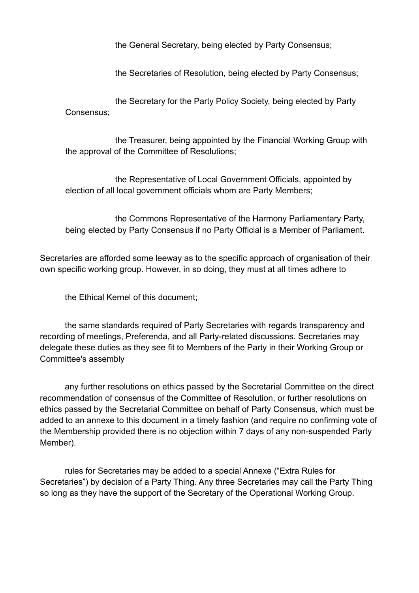the General Secretary, being elected by Party Consensus;

the Secretaries of Resolution, being elected by Party Consensus;

the Secretary for the Party Policy Society, being elected by Party Consensus;

the Treasurer, being appointed by the Financial Working Group with the approval of the Committee of Resolutions;

the Representative of Local Government Officials, appointed by election of all local government officials whom are Party Members;

the Commons Representative of the Harmony Parliamentary Party, being elected by Party Consensus if no Party Official is a Member of Parliament.

Secretaries are afforded some leeway as to the specific approach of organisation of their own specific working group. However, in so doing, they must at all times adhere to

the Ethical Kernel of this document;

the same standards required of Party Secretaries with regards transparency and recording of meetings, Preferenda, and all Party-related discussions. Secretaries may delegate these duties as they see fit to Members of the Party in their Working Group or Committee's assembly

any further resolutions on ethics passed by the Secretarial Committee on the direct recommendation of consensus of the Committee of Resolution, or further resolutions on ethics passed by the Secretarial Committee on behalf of Party Consensus, which must be added to an annexe to this document in a timely fashion (and require no confirming vote of the Membership provided there is no objection within 7 days of any non-suspended Party Member).

rules for Secretaries may be added to a special Annexe ("Extra Rules for Secretaries") by decision of a Party Thing. Any three Secretaries may call the Party Thing so long as they have the support of the Secretary of the Operational Working Group.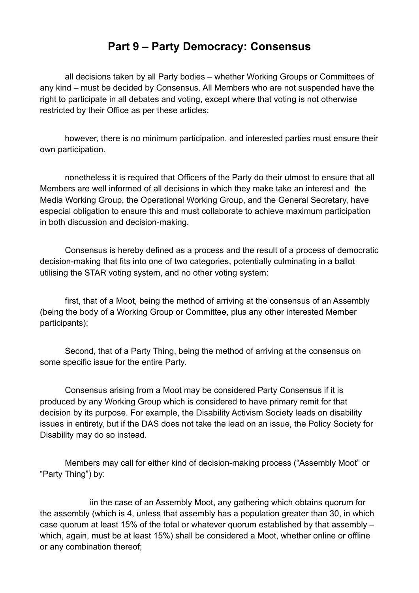### **Part 9 – Party Democracy: Consensus**

all decisions taken by all Party bodies – whether Working Groups or Committees of any kind – must be decided by Consensus. All Members who are not suspended have the right to participate in all debates and voting, except where that voting is not otherwise restricted by their Office as per these articles;

however, there is no minimum participation, and interested parties must ensure their own participation.

nonetheless it is required that Officers of the Party do their utmost to ensure that all Members are well informed of all decisions in which they make take an interest and the Media Working Group, the Operational Working Group, and the General Secretary, have especial obligation to ensure this and must collaborate to achieve maximum participation in both discussion and decision-making.

Consensus is hereby defined as a process and the result of a process of democratic decision-making that fits into one of two categories, potentially culminating in a ballot utilising the STAR voting system, and no other voting system:

first, that of a Moot, being the method of arriving at the consensus of an Assembly (being the body of a Working Group or Committee, plus any other interested Member participants);

Second, that of a Party Thing, being the method of arriving at the consensus on some specific issue for the entire Party.

Consensus arising from a Moot may be considered Party Consensus if it is produced by any Working Group which is considered to have primary remit for that decision by its purpose. For example, the Disability Activism Society leads on disability issues in entirety, but if the DAS does not take the lead on an issue, the Policy Society for Disability may do so instead.

Members may call for either kind of decision-making process ("Assembly Moot" or "Party Thing") by:

iin the case of an Assembly Moot, any gathering which obtains quorum for the assembly (which is 4, unless that assembly has a population greater than 30, in which case quorum at least 15% of the total or whatever quorum established by that assembly – which, again, must be at least 15%) shall be considered a Moot, whether online or offline or any combination thereof;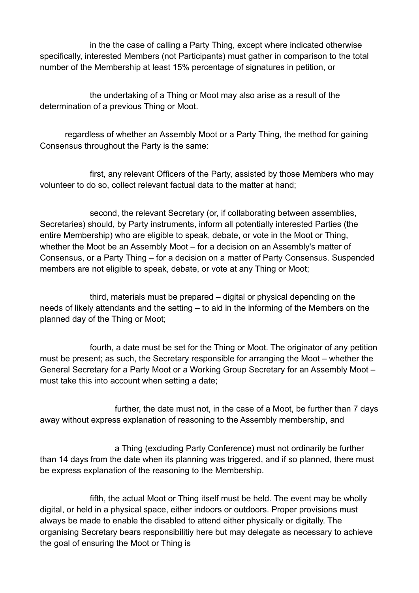in the the case of calling a Party Thing, except where indicated otherwise specifically, interested Members (not Participants) must gather in comparison to the total number of the Membership at least 15% percentage of signatures in petition, or

the undertaking of a Thing or Moot may also arise as a result of the determination of a previous Thing or Moot.

regardless of whether an Assembly Moot or a Party Thing, the method for gaining Consensus throughout the Party is the same:

first, any relevant Officers of the Party, assisted by those Members who may volunteer to do so, collect relevant factual data to the matter at hand;

second, the relevant Secretary (or, if collaborating between assemblies, Secretaries) should, by Party instruments, inform all potentially interested Parties (the entire Membership) who are eligible to speak, debate, or vote in the Moot or Thing, whether the Moot be an Assembly Moot – for a decision on an Assembly's matter of Consensus, or a Party Thing – for a decision on a matter of Party Consensus. Suspended members are not eligible to speak, debate, or vote at any Thing or Moot;

third, materials must be prepared – digital or physical depending on the needs of likely attendants and the setting – to aid in the informing of the Members on the planned day of the Thing or Moot;

fourth, a date must be set for the Thing or Moot. The originator of any petition must be present; as such, the Secretary responsible for arranging the Moot – whether the General Secretary for a Party Moot or a Working Group Secretary for an Assembly Moot – must take this into account when setting a date;

further, the date must not, in the case of a Moot, be further than 7 days away without express explanation of reasoning to the Assembly membership, and

a Thing (excluding Party Conference) must not ordinarily be further than 14 days from the date when its planning was triggered, and if so planned, there must be express explanation of the reasoning to the Membership.

fifth, the actual Moot or Thing itself must be held. The event may be wholly digital, or held in a physical space, either indoors or outdoors. Proper provisions must always be made to enable the disabled to attend either physically or digitally. The organising Secretary bears responsibilitiy here but may delegate as necessary to achieve the goal of ensuring the Moot or Thing is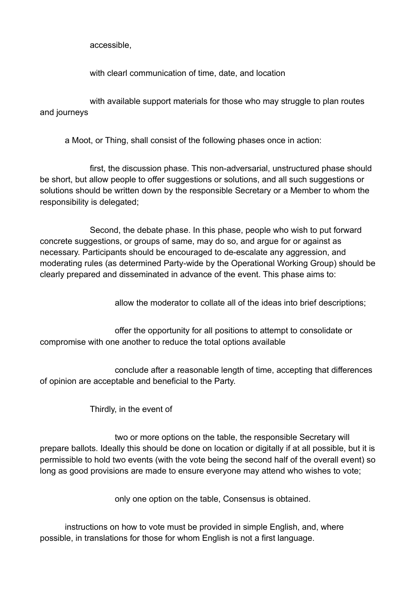accessible,

with clearl communication of time, date, and location

with available support materials for those who may struggle to plan routes and journeys

a Moot, or Thing, shall consist of the following phases once in action:

first, the discussion phase. This non-adversarial, unstructured phase should be short, but allow people to offer suggestions or solutions, and all such suggestions or solutions should be written down by the responsible Secretary or a Member to whom the responsibility is delegated;

Second, the debate phase. In this phase, people who wish to put forward concrete suggestions, or groups of same, may do so, and argue for or against as necessary. Participants should be encouraged to de-escalate any aggression, and moderating rules (as determined Party-wide by the Operational Working Group) should be clearly prepared and disseminated in advance of the event. This phase aims to:

allow the moderator to collate all of the ideas into brief descriptions;

offer the opportunity for all positions to attempt to consolidate or compromise with one another to reduce the total options available

conclude after a reasonable length of time, accepting that differences of opinion are acceptable and beneficial to the Party.

Thirdly, in the event of

two or more options on the table, the responsible Secretary will prepare ballots. Ideally this should be done on location or digitally if at all possible, but it is permissible to hold two events (with the vote being the second half of the overall event) so long as good provisions are made to ensure everyone may attend who wishes to vote;

only one option on the table, Consensus is obtained.

instructions on how to vote must be provided in simple English, and, where possible, in translations for those for whom English is not a first language.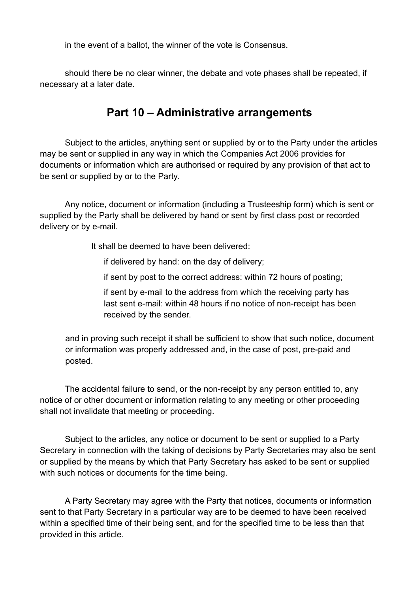in the event of a ballot, the winner of the vote is Consensus.

should there be no clear winner, the debate and vote phases shall be repeated, if necessary at a later date.

### **Part 10 – Administrative arrangements**

Subject to the articles, anything sent or supplied by or to the Party under the articles may be sent or supplied in any way in which the Companies Act 2006 provides for documents or information which are authorised or required by any provision of that act to be sent or supplied by or to the Party.

Any notice, document or information (including a Trusteeship form) which is sent or supplied by the Party shall be delivered by hand or sent by first class post or recorded delivery or by e-mail.

It shall be deemed to have been delivered:

if delivered by hand: on the day of delivery;

if sent by post to the correct address: within 72 hours of posting;

if sent by e-mail to the address from which the receiving party has last sent e-mail: within 48 hours if no notice of non-receipt has been received by the sender.

and in proving such receipt it shall be sufficient to show that such notice, document or information was properly addressed and, in the case of post, pre-paid and posted.

The accidental failure to send, or the non-receipt by any person entitled to, any notice of or other document or information relating to any meeting or other proceeding shall not invalidate that meeting or proceeding.

Subject to the articles, any notice or document to be sent or supplied to a Party Secretary in connection with the taking of decisions by Party Secretaries may also be sent or supplied by the means by which that Party Secretary has asked to be sent or supplied with such notices or documents for the time being.

A Party Secretary may agree with the Party that notices, documents or information sent to that Party Secretary in a particular way are to be deemed to have been received within a specified time of their being sent, and for the specified time to be less than that provided in this article.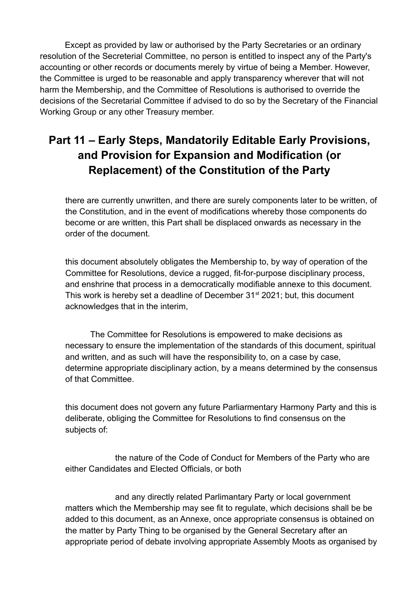Except as provided by law or authorised by the Party Secretaries or an ordinary resolution of the Secreterial Committee, no person is entitled to inspect any of the Party's accounting or other records or documents merely by virtue of being a Member. However, the Committee is urged to be reasonable and apply transparency wherever that will not harm the Membership, and the Committee of Resolutions is authorised to override the decisions of the Secretarial Committee if advised to do so by the Secretary of the Financial Working Group or any other Treasury member.

# **Part 11 – Early Steps, Mandatorily Editable Early Provisions, and Provision for Expansion and Modification (or Replacement) of the Constitution of the Party**

there are currently unwritten, and there are surely components later to be written, of the Constitution, and in the event of modifications whereby those components do become or are written, this Part shall be displaced onwards as necessary in the order of the document.

this document absolutely obligates the Membership to, by way of operation of the Committee for Resolutions, device a rugged, fit-for-purpose disciplinary process, and enshrine that process in a democratically modifiable annexe to this document. This work is hereby set a deadline of December  $31<sup>st</sup>$  2021; but, this document acknowledges that in the interim,

The Committee for Resolutions is empowered to make decisions as necessary to ensure the implementation of the standards of this document, spiritual and written, and as such will have the responsibility to, on a case by case, determine appropriate disciplinary action, by a means determined by the consensus of that Committee.

this document does not govern any future Parliarmentary Harmony Party and this is deliberate, obliging the Committee for Resolutions to find consensus on the subjects of:

the nature of the Code of Conduct for Members of the Party who are either Candidates and Elected Officials, or both

and any directly related Parlimantary Party or local government matters which the Membership may see fit to regulate, which decisions shall be be added to this document, as an Annexe, once appropriate consensus is obtained on the matter by Party Thing to be organised by the General Secretary after an appropriate period of debate involving appropriate Assembly Moots as organised by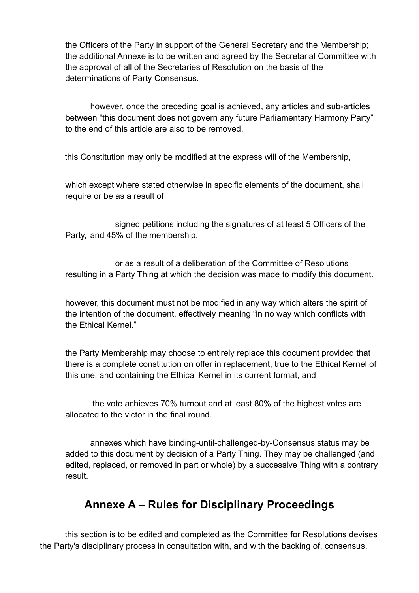the Officers of the Party in support of the General Secretary and the Membership; the additional Annexe is to be written and agreed by the Secretarial Committee with the approval of all of the Secretaries of Resolution on the basis of the determinations of Party Consensus.

however, once the preceding goal is achieved, any articles and sub-articles between "this document does not govern any future Parliamentary Harmony Party" to the end of this article are also to be removed.

this Constitution may only be modified at the express will of the Membership,

which except where stated otherwise in specific elements of the document, shall require or be as a result of

signed petitions including the signatures of at least 5 Officers of the Party, and 45% of the membership,

or as a result of a deliberation of the Committee of Resolutions resulting in a Party Thing at which the decision was made to modify this document.

however, this document must not be modified in any way which alters the spirit of the intention of the document, effectively meaning "in no way which conflicts with the Ethical Kernel."

the Party Membership may choose to entirely replace this document provided that there is a complete constitution on offer in replacement, true to the Ethical Kernel of this one, and containing the Ethical Kernel in its current format, and

 the vote achieves 70% turnout and at least 80% of the highest votes are allocated to the victor in the final round.

annexes which have binding-until-challenged-by-Consensus status may be added to this document by decision of a Party Thing. They may be challenged (and edited, replaced, or removed in part or whole) by a successive Thing with a contrary result.

### **Annexe A – Rules for Disciplinary Proceedings**

this section is to be edited and completed as the Committee for Resolutions devises the Party's disciplinary process in consultation with, and with the backing of, consensus.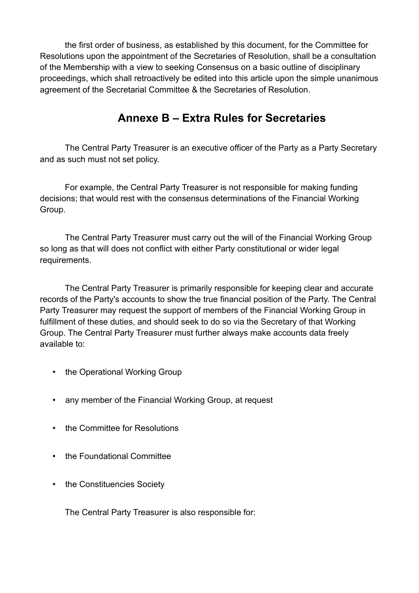the first order of business, as established by this document, for the Committee for Resolutions upon the appointment of the Secretaries of Resolution, shall be a consultation of the Membership with a view to seeking Consensus on a basic outline of disciplinary proceedings, which shall retroactively be edited into this article upon the simple unanimous agreement of the Secretarial Committee & the Secretaries of Resolution.

### **Annexe B – Extra Rules for Secretaries**

The Central Party Treasurer is an executive officer of the Party as a Party Secretary and as such must not set policy.

For example, the Central Party Treasurer is not responsible for making funding decisions; that would rest with the consensus determinations of the Financial Working Group.

The Central Party Treasurer must carry out the will of the Financial Working Group so long as that will does not conflict with either Party constitutional or wider legal requirements.

The Central Party Treasurer is primarily responsible for keeping clear and accurate records of the Party's accounts to show the true financial position of the Party. The Central Party Treasurer may request the support of members of the Financial Working Group in fulfillment of these duties, and should seek to do so via the Secretary of that Working Group. The Central Party Treasurer must further always make accounts data freely available to:

- the Operational Working Group
- any member of the Financial Working Group, at request
- the Committee for Resolutions
- the Foundational Committee
- the Constituencies Society

The Central Party Treasurer is also responsible for: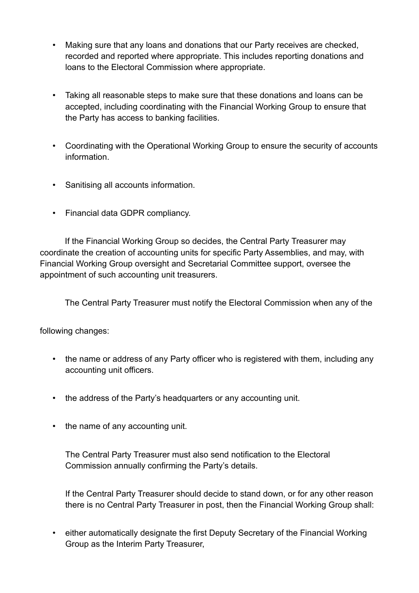- Making sure that any loans and donations that our Party receives are checked, recorded and reported where appropriate. This includes reporting donations and loans to the Electoral Commission where appropriate.
- Taking all reasonable steps to make sure that these donations and loans can be accepted, including coordinating with the Financial Working Group to ensure that the Party has access to banking facilities.
- Coordinating with the Operational Working Group to ensure the security of accounts information.
- Sanitising all accounts information.
- Financial data GDPR compliancy.

If the Financial Working Group so decides, the Central Party Treasurer may coordinate the creation of accounting units for specific Party Assemblies, and may, with Financial Working Group oversight and Secretarial Committee support, oversee the appointment of such accounting unit treasurers.

The Central Party Treasurer must notify the Electoral Commission when any of the

following changes:

- the name or address of any Party officer who is registered with them, including any accounting unit officers.
- the address of the Party's headquarters or any accounting unit.
- the name of any accounting unit.

The Central Party Treasurer must also send notification to the Electoral Commission annually confirming the Party's details.

If the Central Party Treasurer should decide to stand down, or for any other reason there is no Central Party Treasurer in post, then the Financial Working Group shall:

• either automatically designate the first Deputy Secretary of the Financial Working Group as the Interim Party Treasurer,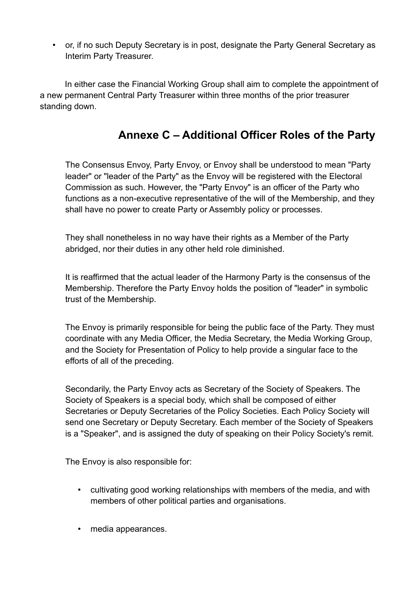• or, if no such Deputy Secretary is in post, designate the Party General Secretary as Interim Party Treasurer.

In either case the Financial Working Group shall aim to complete the appointment of a new permanent Central Party Treasurer within three months of the prior treasurer standing down.

# **Annexe C – Additional Officer Roles of the Party**

The Consensus Envoy, Party Envoy, or Envoy shall be understood to mean "Party leader" or "leader of the Party" as the Envoy will be registered with the Electoral Commission as such. However, the "Party Envoy" is an officer of the Party who functions as a non-executive representative of the will of the Membership, and they shall have no power to create Party or Assembly policy or processes.

They shall nonetheless in no way have their rights as a Member of the Party abridged, nor their duties in any other held role diminished.

It is reaffirmed that the actual leader of the Harmony Party is the consensus of the Membership. Therefore the Party Envoy holds the position of "leader" in symbolic trust of the Membership.

The Envoy is primarily responsible for being the public face of the Party. They must coordinate with any Media Officer, the Media Secretary, the Media Working Group, and the Society for Presentation of Policy to help provide a singular face to the efforts of all of the preceding.

Secondarily, the Party Envoy acts as Secretary of the Society of Speakers. The Society of Speakers is a special body, which shall be composed of either Secretaries or Deputy Secretaries of the Policy Societies. Each Policy Society will send one Secretary or Deputy Secretary. Each member of the Society of Speakers is a "Speaker", and is assigned the duty of speaking on their Policy Society's remit.

The Envoy is also responsible for:

- cultivating good working relationships with members of the media, and with members of other political parties and organisations.
- media appearances.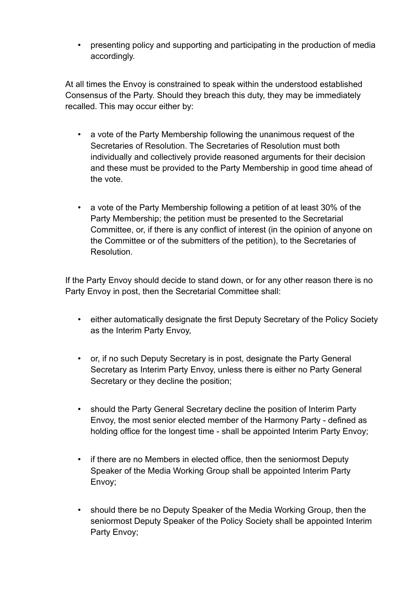• presenting policy and supporting and participating in the production of media accordingly.

At all times the Envoy is constrained to speak within the understood established Consensus of the Party. Should they breach this duty, they may be immediately recalled. This may occur either by:

- a vote of the Party Membership following the unanimous request of the Secretaries of Resolution. The Secretaries of Resolution must both individually and collectively provide reasoned arguments for their decision and these must be provided to the Party Membership in good time ahead of the vote.
- a vote of the Party Membership following a petition of at least 30% of the Party Membership; the petition must be presented to the Secretarial Committee, or, if there is any conflict of interest (in the opinion of anyone on the Committee or of the submitters of the petition), to the Secretaries of **Resolution**

If the Party Envoy should decide to stand down, or for any other reason there is no Party Envoy in post, then the Secretarial Committee shall:

- either automatically designate the first Deputy Secretary of the Policy Society as the Interim Party Envoy,
- or, if no such Deputy Secretary is in post, designate the Party General Secretary as Interim Party Envoy, unless there is either no Party General Secretary or they decline the position;
- should the Party General Secretary decline the position of Interim Party Envoy, the most senior elected member of the Harmony Party - defined as holding office for the longest time - shall be appointed Interim Party Envoy;
- if there are no Members in elected office, then the seniormost Deputy Speaker of the Media Working Group shall be appointed Interim Party Envoy;
- should there be no Deputy Speaker of the Media Working Group, then the seniormost Deputy Speaker of the Policy Society shall be appointed Interim Party Envoy;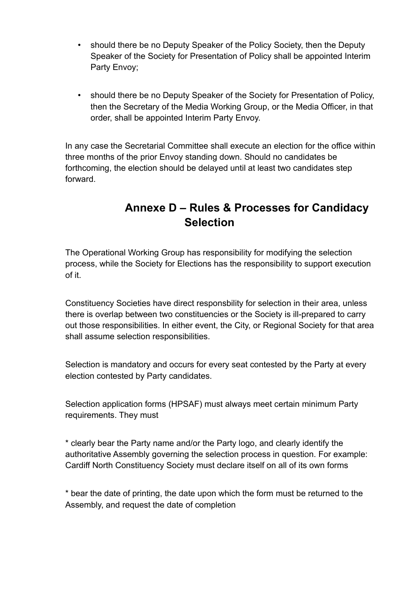- should there be no Deputy Speaker of the Policy Society, then the Deputy Speaker of the Society for Presentation of Policy shall be appointed Interim Party Envoy;
- should there be no Deputy Speaker of the Society for Presentation of Policy, then the Secretary of the Media Working Group, or the Media Officer, in that order, shall be appointed Interim Party Envoy.

In any case the Secretarial Committee shall execute an election for the office within three months of the prior Envoy standing down. Should no candidates be forthcoming, the election should be delayed until at least two candidates step forward.

# **Annexe D – Rules & Processes for Candidacy Selection**

The Operational Working Group has responsibility for modifying the selection process, while the Society for Elections has the responsibility to support execution of it.

Constituency Societies have direct responsbility for selection in their area, unless there is overlap between two constituencies or the Society is ill-prepared to carry out those responsibilities. In either event, the City, or Regional Society for that area shall assume selection responsibilities.

Selection is mandatory and occurs for every seat contested by the Party at every election contested by Party candidates.

Selection application forms (HPSAF) must always meet certain minimum Party requirements. They must

\* clearly bear the Party name and/or the Party logo, and clearly identify the authoritative Assembly governing the selection process in question. For example: Cardiff North Constituency Society must declare itself on all of its own forms

\* bear the date of printing, the date upon which the form must be returned to the Assembly, and request the date of completion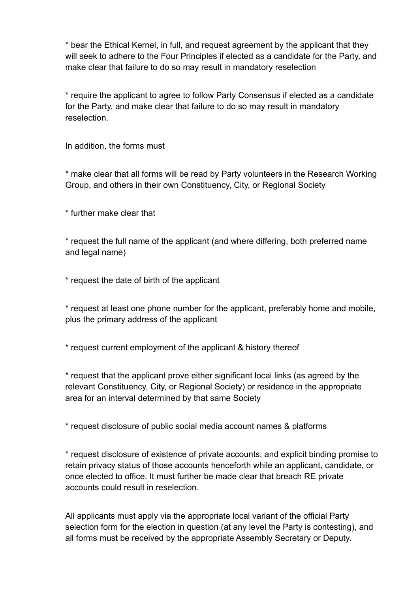\* bear the Ethical Kernel, in full, and request agreement by the applicant that they will seek to adhere to the Four Principles if elected as a candidate for the Party, and make clear that failure to do so may result in mandatory reselection

\* require the applicant to agree to follow Party Consensus if elected as a candidate for the Party, and make clear that failure to do so may result in mandatory reselection.

In addition, the forms must

\* make clear that all forms will be read by Party volunteers in the Research Working Group, and others in their own Constituency, City, or Regional Society

\* further make clear that

\* request the full name of the applicant (and where differing, both preferred name and legal name)

\* request the date of birth of the applicant

\* request at least one phone number for the applicant, preferably home and mobile, plus the primary address of the applicant

\* request current employment of the applicant & history thereof

\* request that the applicant prove either significant local links (as agreed by the relevant Constituency, City, or Regional Society) or residence in the appropriate area for an interval determined by that same Society

\* request disclosure of public social media account names & platforms

\* request disclosure of existence of private accounts, and explicit binding promise to retain privacy status of those accounts henceforth while an applicant, candidate, or once elected to office. It must further be made clear that breach RE private accounts could result in reselection.

All applicants must apply via the appropriate local variant of the official Party selection form for the election in question (at any level the Party is contesting), and all forms must be received by the appropriate Assembly Secretary or Deputy.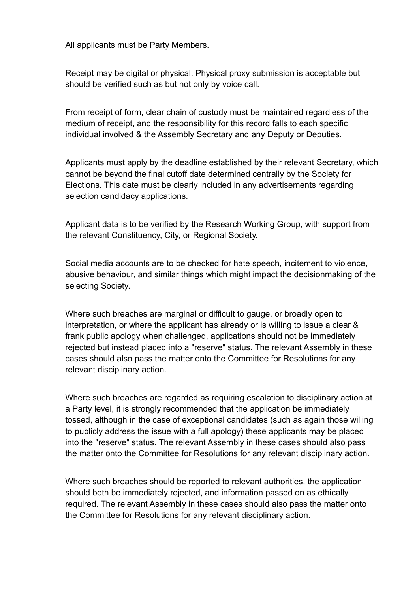All applicants must be Party Members.

Receipt may be digital or physical. Physical proxy submission is acceptable but should be verified such as but not only by voice call.

From receipt of form, clear chain of custody must be maintained regardless of the medium of receipt, and the responsibility for this record falls to each specific individual involved & the Assembly Secretary and any Deputy or Deputies.

Applicants must apply by the deadline established by their relevant Secretary, which cannot be beyond the final cutoff date determined centrally by the Society for Elections. This date must be clearly included in any advertisements regarding selection candidacy applications.

Applicant data is to be verified by the Research Working Group, with support from the relevant Constituency, City, or Regional Society.

Social media accounts are to be checked for hate speech, incitement to violence, abusive behaviour, and similar things which might impact the decisionmaking of the selecting Society.

Where such breaches are marginal or difficult to gauge, or broadly open to interpretation, or where the applicant has already or is willing to issue a clear & frank public apology when challenged, applications should not be immediately rejected but instead placed into a "reserve" status. The relevant Assembly in these cases should also pass the matter onto the Committee for Resolutions for any relevant disciplinary action.

Where such breaches are regarded as requiring escalation to disciplinary action at a Party level, it is strongly recommended that the application be immediately tossed, although in the case of exceptional candidates (such as again those willing to publicly address the issue with a full apology) these applicants may be placed into the "reserve" status. The relevant Assembly in these cases should also pass the matter onto the Committee for Resolutions for any relevant disciplinary action.

Where such breaches should be reported to relevant authorities, the application should both be immediately rejected, and information passed on as ethically required. The relevant Assembly in these cases should also pass the matter onto the Committee for Resolutions for any relevant disciplinary action.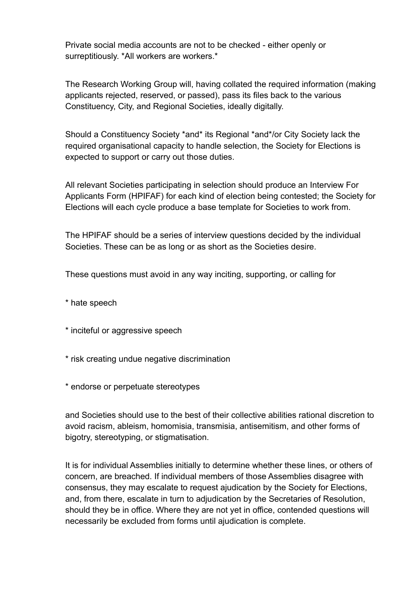Private social media accounts are not to be checked - either openly or surreptitiously. \*All workers are workers.\*

The Research Working Group will, having collated the required information (making applicants rejected, reserved, or passed), pass its files back to the various Constituency, City, and Regional Societies, ideally digitally.

Should a Constituency Society \*and\* its Regional \*and\*/or City Society lack the required organisational capacity to handle selection, the Society for Elections is expected to support or carry out those duties.

All relevant Societies participating in selection should produce an Interview For Applicants Form (HPIFAF) for each kind of election being contested; the Society for Elections will each cycle produce a base template for Societies to work from.

The HPIFAF should be a series of interview questions decided by the individual Societies. These can be as long or as short as the Societies desire.

These questions must avoid in any way inciting, supporting, or calling for

\* hate speech

- \* inciteful or aggressive speech
- \* risk creating undue negative discrimination
- \* endorse or perpetuate stereotypes

and Societies should use to the best of their collective abilities rational discretion to avoid racism, ableism, homomisia, transmisia, antisemitism, and other forms of bigotry, stereotyping, or stigmatisation.

It is for individual Assemblies initially to determine whether these lines, or others of concern, are breached. If individual members of those Assemblies disagree with consensus, they may escalate to request ajudication by the Society for Elections, and, from there, escalate in turn to adjudication by the Secretaries of Resolution, should they be in office. Where they are not yet in office, contended questions will necessarily be excluded from forms until ajudication is complete.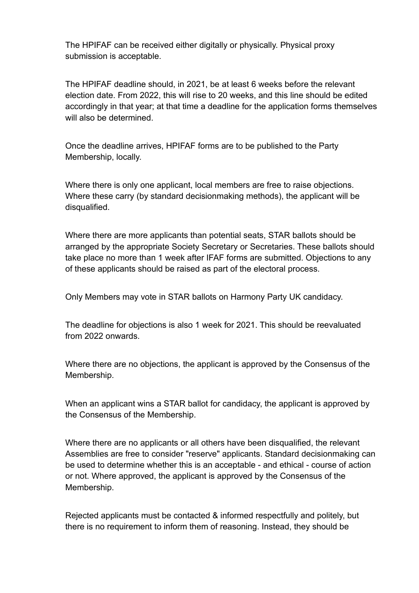The HPIFAF can be received either digitally or physically. Physical proxy submission is acceptable.

The HPIFAF deadline should, in 2021, be at least 6 weeks before the relevant election date. From 2022, this will rise to 20 weeks, and this line should be edited accordingly in that year; at that time a deadline for the application forms themselves will also be determined.

Once the deadline arrives, HPIFAF forms are to be published to the Party Membership, locally.

Where there is only one applicant, local members are free to raise objections. Where these carry (by standard decisionmaking methods), the applicant will be disqualified.

Where there are more applicants than potential seats, STAR ballots should be arranged by the appropriate Society Secretary or Secretaries. These ballots should take place no more than 1 week after IFAF forms are submitted. Objections to any of these applicants should be raised as part of the electoral process.

Only Members may vote in STAR ballots on Harmony Party UK candidacy.

The deadline for objections is also 1 week for 2021. This should be reevaluated from 2022 onwards.

Where there are no objections, the applicant is approved by the Consensus of the Membership.

When an applicant wins a STAR ballot for candidacy, the applicant is approved by the Consensus of the Membership.

Where there are no applicants or all others have been disqualified, the relevant Assemblies are free to consider "reserve" applicants. Standard decisionmaking can be used to determine whether this is an acceptable - and ethical - course of action or not. Where approved, the applicant is approved by the Consensus of the Membership.

Rejected applicants must be contacted & informed respectfully and politely, but there is no requirement to inform them of reasoning. Instead, they should be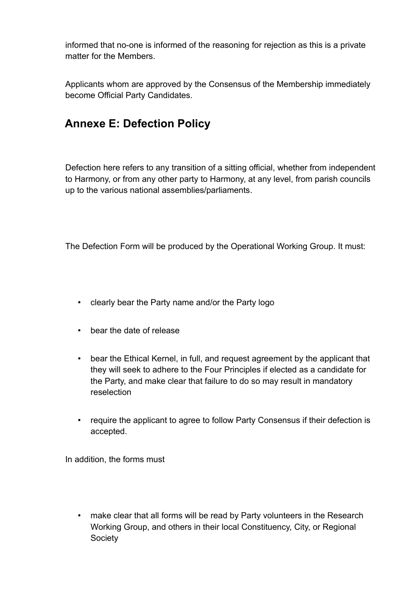informed that no-one is informed of the reasoning for rejection as this is a private matter for the Members.

Applicants whom are approved by the Consensus of the Membership immediately become Official Party Candidates.

# **Annexe E: Defection Policy**

Defection here refers to any transition of a sitting official, whether from independent to Harmony, or from any other party to Harmony, at any level, from parish councils up to the various national assemblies/parliaments.

The Defection Form will be produced by the Operational Working Group. It must:

- clearly bear the Party name and/or the Party logo
- bear the date of release
- bear the Ethical Kernel, in full, and request agreement by the applicant that they will seek to adhere to the Four Principles if elected as a candidate for the Party, and make clear that failure to do so may result in mandatory reselection
- require the applicant to agree to follow Party Consensus if their defection is accepted.

In addition, the forms must

• make clear that all forms will be read by Party volunteers in the Research Working Group, and others in their local Constituency, City, or Regional **Society**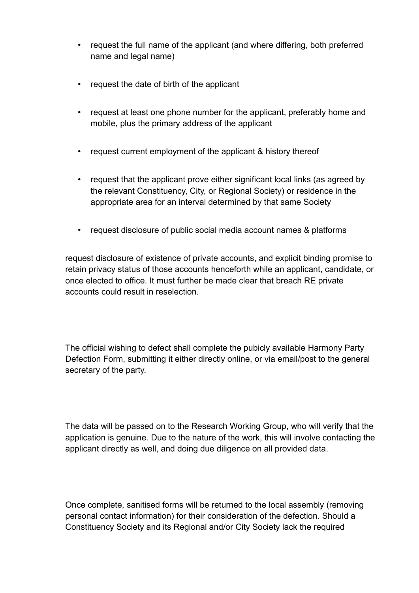- request the full name of the applicant (and where differing, both preferred name and legal name)
- request the date of birth of the applicant
- request at least one phone number for the applicant, preferably home and mobile, plus the primary address of the applicant
- request current employment of the applicant & history thereof
- request that the applicant prove either significant local links (as agreed by the relevant Constituency, City, or Regional Society) or residence in the appropriate area for an interval determined by that same Society
- request disclosure of public social media account names & platforms

request disclosure of existence of private accounts, and explicit binding promise to retain privacy status of those accounts henceforth while an applicant, candidate, or once elected to office. It must further be made clear that breach RE private accounts could result in reselection.

The official wishing to defect shall complete the pubicly available Harmony Party Defection Form, submitting it either directly online, or via email/post to the general secretary of the party.

The data will be passed on to the Research Working Group, who will verify that the application is genuine. Due to the nature of the work, this will involve contacting the applicant directly as well, and doing due diligence on all provided data.

Once complete, sanitised forms will be returned to the local assembly (removing personal contact information) for their consideration of the defection. Should a Constituency Society and its Regional and/or City Society lack the required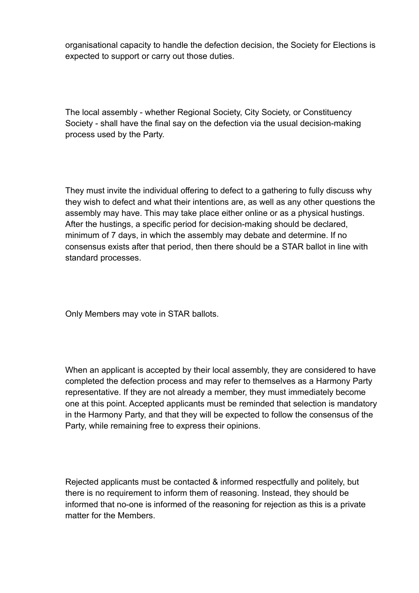organisational capacity to handle the defection decision, the Society for Elections is expected to support or carry out those duties.

The local assembly - whether Regional Society, City Society, or Constituency Society - shall have the final say on the defection via the usual decision-making process used by the Party.

They must invite the individual offering to defect to a gathering to fully discuss why they wish to defect and what their intentions are, as well as any other questions the assembly may have. This may take place either online or as a physical hustings. After the hustings, a specific period for decision-making should be declared, minimum of 7 days, in which the assembly may debate and determine. If no consensus exists after that period, then there should be a STAR ballot in line with standard processes.

Only Members may vote in STAR ballots.

When an applicant is accepted by their local assembly, they are considered to have completed the defection process and may refer to themselves as a Harmony Party representative. If they are not already a member, they must immediately become one at this point. Accepted applicants must be reminded that selection is mandatory in the Harmony Party, and that they will be expected to follow the consensus of the Party, while remaining free to express their opinions.

Rejected applicants must be contacted & informed respectfully and politely, but there is no requirement to inform them of reasoning. Instead, they should be informed that no-one is informed of the reasoning for rejection as this is a private matter for the Members.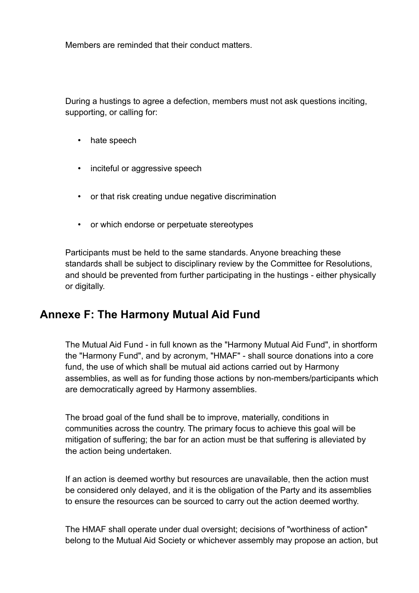Members are reminded that their conduct matters.

During a hustings to agree a defection, members must not ask questions inciting, supporting, or calling for:

- hate speech
- inciteful or aggressive speech
- or that risk creating undue negative discrimination
- or which endorse or perpetuate stereotypes

Participants must be held to the same standards. Anyone breaching these standards shall be subject to disciplinary review by the Committee for Resolutions, and should be prevented from further participating in the hustings - either physically or digitally.

#### **Annexe F: The Harmony Mutual Aid Fund**

The Mutual Aid Fund - in full known as the "Harmony Mutual Aid Fund", in shortform the "Harmony Fund", and by acronym, "HMAF" - shall source donations into a core fund, the use of which shall be mutual aid actions carried out by Harmony assemblies, as well as for funding those actions by non-members/participants which are democratically agreed by Harmony assemblies.

The broad goal of the fund shall be to improve, materially, conditions in communities across the country. The primary focus to achieve this goal will be mitigation of suffering; the bar for an action must be that suffering is alleviated by the action being undertaken.

If an action is deemed worthy but resources are unavailable, then the action must be considered only delayed, and it is the obligation of the Party and its assemblies to ensure the resources can be sourced to carry out the action deemed worthy.

The HMAF shall operate under dual oversight; decisions of "worthiness of action" belong to the Mutual Aid Society or whichever assembly may propose an action, but